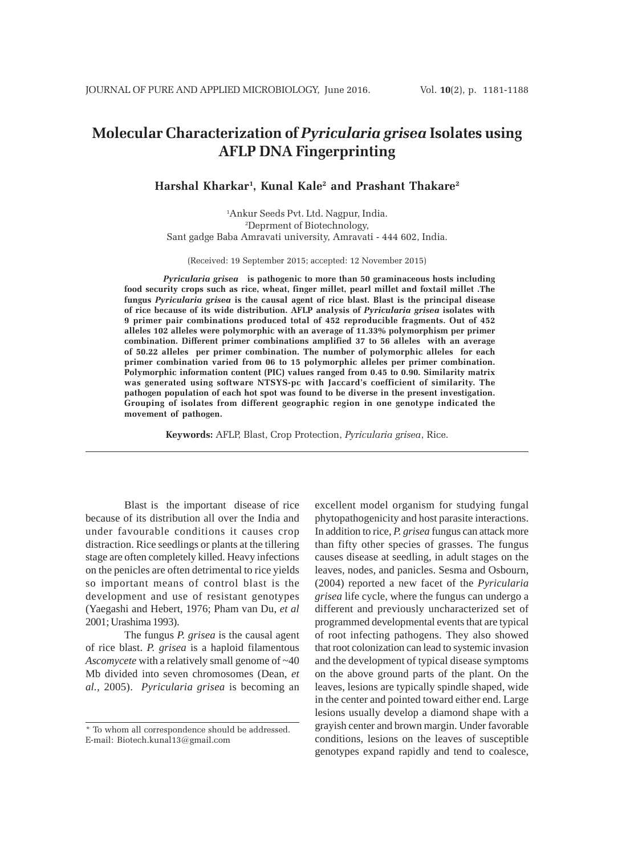# **Molecular Characterization of** *Pyricularia grisea* **Isolates using AFLP DNA Fingerprinting**

**Harshal Kharkar1 , Kunal Kale2 and Prashant Thakare2**

1 Ankur Seeds Pvt. Ltd. Nagpur, India. 2 Deprment of Biotechnology, Sant gadge Baba Amravati university, Amravati - 444 602, India.

(Received: 19 September 2015; accepted: 12 November 2015)

*Pyricularia grisea* **is pathogenic to more than 50 graminaceous hosts including food security crops such as rice, wheat, finger millet, pearl millet and foxtail millet .The fungus** *Pyricularia grisea* **is the causal agent of rice blast. Blast is the principal disease of rice because of its wide distribution. AFLP analysis of** *Pyricularia grisea* **isolates with 9 primer pair combinations produced total of 452 reproducible fragments. Out of 452 alleles 102 alleles were polymorphic with an average of 11.33% polymorphism per primer combination. Different primer combinations amplified 37 to 56 alleles with an average of 50.22 alleles per primer combination. The number of polymorphic alleles for each primer combination varied from 06 to 15 polymorphic alleles per primer combination. Polymorphic information content (PIC) values ranged from 0.45 to 0.90. Similarity matrix was generated using software NTSYS-pc with Jaccard's coefficient of similarity. The pathogen population of each hot spot was found to be diverse in the present investigation. Grouping of isolates from different geographic region in one genotype indicated the movement of pathogen.**

**Keywords:** AFLP, Blast, Crop Protection, *Pyricularia grisea*, Rice.

Blast is the important disease of rice because of its distribution all over the India and under favourable conditions it causes crop distraction. Rice seedlings or plants at the tillering stage are often completely killed. Heavy infections on the penicles are often detrimental to rice yields so important means of control blast is the development and use of resistant genotypes (Yaegashi and Hebert, 1976; Pham van Du, *et al* 2001; Urashima 1993).

The fungus *P. grisea* is the causal agent of rice blast. *P. grisea* is a haploid filamentous *Ascomycete* with a relatively small genome of ~40 Mb divided into seven chromosomes (Dean, *et al.,* 2005). *Pyricularia grisea* is becoming an

excellent model organism for studying fungal phytopathogenicity and host parasite interactions. In addition to rice, *P. grisea* fungus can attack more than fifty other species of grasses. The fungus causes disease at seedling, in adult stages on the leaves, nodes, and panicles. Sesma and Osbourn, (2004) reported a new facet of the *Pyricularia grisea* life cycle, where the fungus can undergo a different and previously uncharacterized set of programmed developmental events that are typical of root infecting pathogens. They also showed that root colonization can lead to systemic invasion and the development of typical disease symptoms on the above ground parts of the plant. On the leaves, lesions are typically spindle shaped, wide in the center and pointed toward either end. Large lesions usually develop a diamond shape with a grayish center and brown margin. Under favorable conditions, lesions on the leaves of susceptible genotypes expand rapidly and tend to coalesce,

<sup>\*</sup> To whom all correspondence should be addressed. E-mail: Biotech.kunal13@gmail.com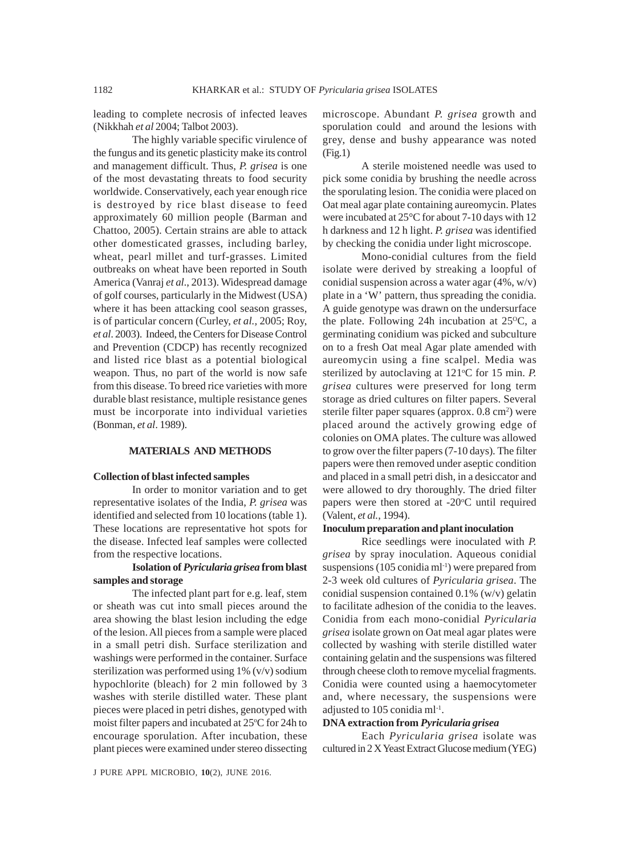leading to complete necrosis of infected leaves (Nikkhah *et al* 2004; Talbot 2003).

The highly variable specific virulence of the fungus and its genetic plasticity make its control and management difficult. Thus, *P. grisea* is one of the most devastating threats to food security worldwide. Conservatively, each year enough rice is destroyed by rice blast disease to feed approximately 60 million people (Barman and Chattoo, 2005). Certain strains are able to attack other domesticated grasses, including barley, wheat, pearl millet and turf-grasses. Limited outbreaks on wheat have been reported in South America (Vanraj *et al*., 2013). Widespread damage of golf courses, particularly in the Midwest (USA) where it has been attacking cool season grasses, is of particular concern (Curley, *et al.,* 2005; Roy, *et al*. 2003). Indeed, the Centers for Disease Control and Prevention (CDCP) has recently recognized and listed rice blast as a potential biological weapon. Thus, no part of the world is now safe from this disease. To breed rice varieties with more durable blast resistance, multiple resistance genes must be incorporate into individual varieties (Bonman, *et al*. 1989).

## **MATERIALS AND METHODS**

#### **Collection of blast infected samples**

In order to monitor variation and to get representative isolates of the India, *P. grisea* was identified and selected from 10 locations (table 1). These locations are representative hot spots for the disease. Infected leaf samples were collected from the respective locations.

# **Isolation of** *Pyricularia grisea* **from blast samples and storage**

The infected plant part for e.g. leaf, stem or sheath was cut into small pieces around the area showing the blast lesion including the edge of the lesion. All pieces from a sample were placed in a small petri dish. Surface sterilization and washings were performed in the container. Surface sterilization was performed using 1% (v/v) sodium hypochlorite (bleach) for 2 min followed by 3 washes with sterile distilled water. These plant pieces were placed in petri dishes, genotyped with moist filter papers and incubated at 25°C for 24h to encourage sporulation. After incubation, these plant pieces were examined under stereo dissecting

microscope. Abundant *P. grisea* growth and sporulation could and around the lesions with grey, dense and bushy appearance was noted (Fig.1)

A sterile moistened needle was used to pick some conidia by brushing the needle across the sporulating lesion. The conidia were placed on Oat meal agar plate containing aureomycin. Plates were incubated at 25°C for about 7-10 days with 12 h darkness and 12 h light. *P. grisea* was identified by checking the conidia under light microscope.

Mono-conidial cultures from the field isolate were derived by streaking a loopful of conidial suspension across a water agar (4%, w/v) plate in a 'W' pattern, thus spreading the conidia. A guide genotype was drawn on the undersurface the plate. Following 24h incubation at  $25^{\circ}$ C, a germinating conidium was picked and subculture on to a fresh Oat meal Agar plate amended with aureomycin using a fine scalpel. Media was sterilized by autoclaving at 121°C for 15 min. P. *grisea* cultures were preserved for long term storage as dried cultures on filter papers. Several sterile filter paper squares (approx. 0.8 cm<sup>2</sup>) were placed around the actively growing edge of colonies on OMA plates. The culture was allowed to grow over the filter papers (7-10 days). The filter papers were then removed under aseptic condition and placed in a small petri dish, in a desiccator and were allowed to dry thoroughly. The dried filter papers were then stored at -20°C until required (Valent, *et al.*, 1994).

## **Inoculum preparation and plant inoculation**

Rice seedlings were inoculated with *P. grisea* by spray inoculation. Aqueous conidial suspensions (105 conidia ml<sup>-1</sup>) were prepared from 2-3 week old cultures of *Pyricularia grisea*. The conidial suspension contained 0.1% (w/v) gelatin to facilitate adhesion of the conidia to the leaves. Conidia from each mono-conidial *Pyricularia grisea* isolate grown on Oat meal agar plates were collected by washing with sterile distilled water containing gelatin and the suspensions was filtered through cheese cloth to remove mycelial fragments. Conidia were counted using a haemocytometer and, where necessary, the suspensions were adjusted to 105 conidia ml-1.

# **DNA extraction from** *Pyricularia grisea*

Each *Pyricularia grisea* isolate was cultured in 2 X Yeast Extract Glucose medium (YEG)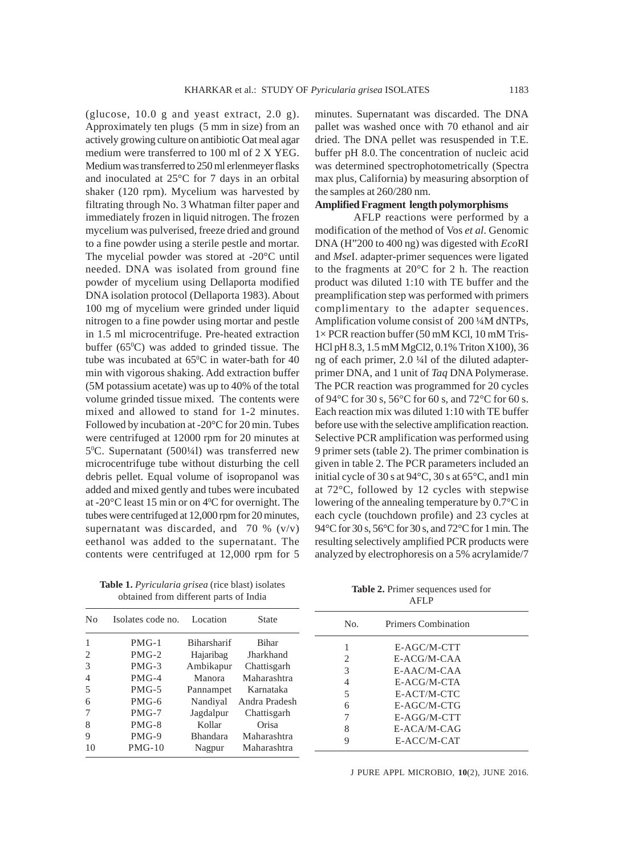(glucose,  $10.0$  g and yeast extract,  $2.0$  g). Approximately ten plugs (5 mm in size) from an actively growing culture on antibiotic Oat meal agar medium were transferred to 100 ml of 2 X YEG. Medium was transferred to 250 ml erlenmeyer flasks and inoculated at 25°C for 7 days in an orbital shaker (120 rpm). Mycelium was harvested by filtrating through No. 3 Whatman filter paper and immediately frozen in liquid nitrogen. The frozen mycelium was pulverised, freeze dried and ground to a fine powder using a sterile pestle and mortar. The mycelial powder was stored at -20°C until needed. DNA was isolated from ground fine powder of mycelium using Dellaporta modified DNA isolation protocol (Dellaporta 1983). About 100 mg of mycelium were grinded under liquid nitrogen to a fine powder using mortar and pestle in 1.5 ml microcentrifuge. Pre-heated extraction buffer  $(65^{\circ}C)$  was added to grinded tissue. The tube was incubated at  $65^{\circ}$ C in water-bath for 40 min with vigorous shaking. Add extraction buffer (5M potassium acetate) was up to 40% of the total volume grinded tissue mixed. The contents were mixed and allowed to stand for 1-2 minutes. Followed by incubation at -20°C for 20 min. Tubes were centrifuged at 12000 rpm for 20 minutes at 50 C. Supernatant (500¼l) was transferred new microcentrifuge tube without disturbing the cell debris pellet. Equal volume of isopropanol was added and mixed gently and tubes were incubated at -20 $\mathrm{^{\circ}C}$  least 15 min or on  $4\mathrm{^{\circ}C}$  for overnight. The tubes were centrifuged at 12,000 rpm for 20 minutes, supernatant was discarded, and  $70 \%$  (v/v) eethanol was added to the supernatant. The contents were centrifuged at 12,000 rpm for 5

obtained from different parts of India

minutes. Supernatant was discarded. The DNA pallet was washed once with 70 ethanol and air dried. The DNA pellet was resuspended in T.E. buffer pH 8.0. The concentration of nucleic acid was determined spectrophotometrically (Spectra max plus, California) by measuring absorption of the samples at 260/280 nm.

## **Amplified Fragment length polymorphisms**

AFLP reactions were performed by a modification of the method of Vos *et al*. Genomic DNA (H"200 to 400 ng) was digested with *Eco*RI and *Mse*I. adapter-primer sequences were ligated to the fragments at 20°C for 2 h. The reaction product was diluted 1:10 with TE buffer and the preamplification step was performed with primers complimentary to the adapter sequences. Amplification volume consist of 200 ¼M dNTPs, 1× PCR reaction buffer (50 mM KCl, 10 mM Tris-HCl pH 8.3, 1.5 mM MgCl2, 0.1% Triton X100), 36 ng of each primer, 2.0 ¼l of the diluted adapterprimer DNA, and 1 unit of *Taq* DNA Polymerase. The PCR reaction was programmed for 20 cycles of 94°C for 30 s, 56°C for 60 s, and 72°C for 60 s. Each reaction mix was diluted 1:10 with TE buffer before use with the selective amplification reaction. Selective PCR amplification was performed using 9 primer sets (table 2). The primer combination is given in table 2. The PCR parameters included an initial cycle of 30 s at 94°C, 30 s at 65°C, and1 min at 72°C, followed by 12 cycles with stepwise lowering of the annealing temperature by 0.7°C in each cycle (touchdown profile) and 23 cycles at 94°C for 30 s, 56°C for 30 s, and 72°C for 1 min. The resulting selectively amplified PCR products were analyzed by electrophoresis on a 5% acrylamide/7

|                                                           |                                                                                      |                                                                                                        |                                                                                                               |                       | AFLP                                                                                                     |  |  |  |
|-----------------------------------------------------------|--------------------------------------------------------------------------------------|--------------------------------------------------------------------------------------------------------|---------------------------------------------------------------------------------------------------------------|-----------------------|----------------------------------------------------------------------------------------------------------|--|--|--|
| N <sub>0</sub>                                            | Isolates code no.                                                                    | Location                                                                                               | <b>State</b>                                                                                                  | No.                   | Primers Combination                                                                                      |  |  |  |
| $\overline{2}$<br>3<br>$\overline{4}$<br>5<br>6<br>7<br>8 | $PMG-1$<br>$PMG-2$<br>$PMG-3$<br>$PMG-4$<br>$PMG-5$<br>$PMG-6$<br>$PMG-7$<br>$PMG-8$ | <b>Biharsharif</b><br>Hajaribag<br>Ambikapur<br>Manora<br>Pannampet<br>Nandiyal<br>Jagdalpur<br>Kollar | <b>Bihar</b><br>Jharkhand<br>Chattisgarh<br>Maharashtra<br>Karnataka<br>Andra Pradesh<br>Chattisgarh<br>Orisa | 2<br>3<br>4<br>5<br>6 | E-AGC/M-CTT<br>E-ACG/M-CAA<br>$E-AA C/M-CAA$<br>E-ACG/M-CTA<br>E-ACT/M-CTC<br>E-AGC/M-CTG<br>E-AGG/M-CTT |  |  |  |
| 9<br>10                                                   | $PMG-9$<br>$PMG-10$                                                                  | <b>Bhandara</b><br>Nagpur                                                                              | Maharashtra<br>Maharashtra                                                                                    | 8<br>9                | E-ACA/M-CAG<br>E-ACC/M-CAT                                                                               |  |  |  |

**Table 1.** *Pyricularia grisea* (rice blast) isolates

J PURE APPL MICROBIO*,* **10**(2), JUNE 2016.

**Table 2.** Primer sequences used for AFLP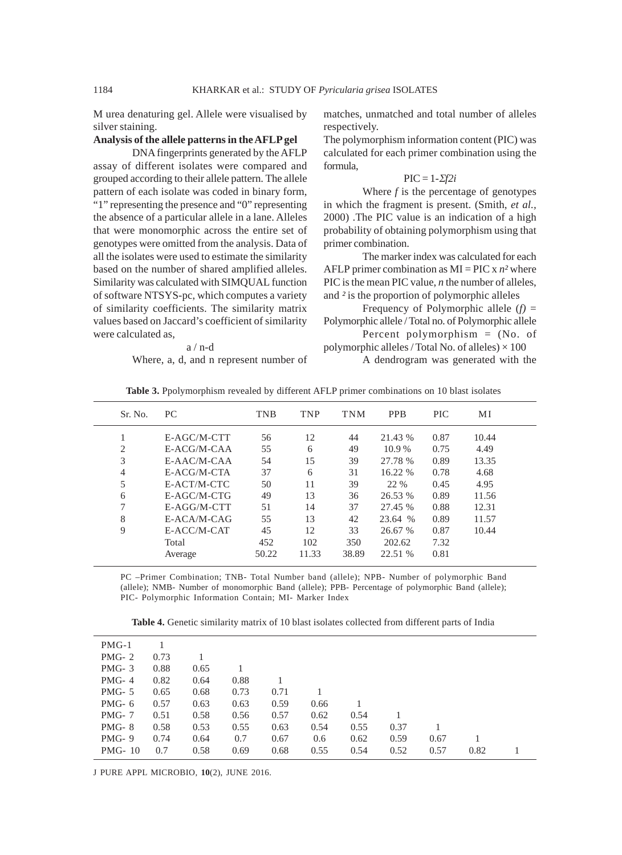M urea denaturing gel. Allele were visualised by silver staining.

# **Analysis of the allele patterns in the AFLP gel**

DNA fingerprints generated by the AFLP assay of different isolates were compared and grouped according to their allele pattern. The allele pattern of each isolate was coded in binary form, "1" representing the presence and "0" representing the absence of a particular allele in a lane. Alleles that were monomorphic across the entire set of genotypes were omitted from the analysis. Data of all the isolates were used to estimate the similarity based on the number of shared amplified alleles. Similarity was calculated with SIMQUAL function of software NTSYS-pc, which computes a variety of similarity coefficients. The similarity matrix values based on Jaccard's coefficient of similarity were calculated as,

a / n-d

Where, a, d, and n represent number of

matches, unmatched and total number of alleles respectively.

The polymorphism information content (PIC) was calculated for each primer combination using the formula,

## $\text{PIC} = 1 - \Sigma f 2i$

Where *f* is the percentage of genotypes in which the fragment is present. (Smith, *et al.,* 2000) .The PIC value is an indication of a high probability of obtaining polymorphism using that primer combination.

The marker index was calculated for each AFLP primer combination as  $MI = PIC x n^2$  where PIC is the mean PIC value, *n* the number of alleles, and *²* is the proportion of polymorphic alleles

Frequency of Polymorphic allele  $(f)$  = Polymorphic allele / Total no. of Polymorphic allele

Percent polymorphism = (No. of polymorphic alleles / Total No. of alleles)  $\times$  100

A dendrogram was generated with the

| Sr. No.        | PC.         | <b>TNB</b> | <b>TNP</b> | <b>TNM</b> | <b>PPB</b> | <b>PIC</b> | МI    |
|----------------|-------------|------------|------------|------------|------------|------------|-------|
|                | E-AGC/M-CTT | 56         | 12         | 44         | 21.43 %    | 0.87       | 10.44 |
| 2              | E-ACG/M-CAA | 55         | 6          | 49         | 10.9%      | 0.75       | 4.49  |
| 3              | E-AAC/M-CAA | 54         | 15         | 39         | 27.78 %    | 0.89       | 13.35 |
| $\overline{4}$ | E-ACG/M-CTA | 37         | 6          | 31         | 16.22 %    | 0.78       | 4.68  |
| 5              | E-ACT/M-CTC | 50         | 11         | 39         | 22 %       | 0.45       | 4.95  |
| 6              | E-AGC/M-CTG | 49         | 13         | 36         | 26.53 %    | 0.89       | 11.56 |
| 7              | E-AGG/M-CTT | 51         | 14         | 37         | 27.45 %    | 0.88       | 12.31 |
| 8              | E-ACA/M-CAG | 55         | 13         | 42         | 23.64 %    | 0.89       | 11.57 |
| 9              | E-ACC/M-CAT | 45         | 12         | 33         | 26.67 %    | 0.87       | 10.44 |
|                | Total       | 452        | 102        | 350        | 202.62     | 7.32       |       |
|                | Average     | 50.22      | 11.33      | 38.89      | 22.51 %    | 0.81       |       |

PC –Primer Combination; TNB- Total Number band (allele); NPB- Number of polymorphic Band (allele); NMB- Number of monomorphic Band (allele); PPB- Percentage of polymorphic Band (allele); PIC- Polymorphic Information Contain; MI- Marker Index

**Table 4.** Genetic similarity matrix of 10 blast isolates collected from different parts of India

J PURE APPL MICROBIO*,* **10**(2), JUNE 2016.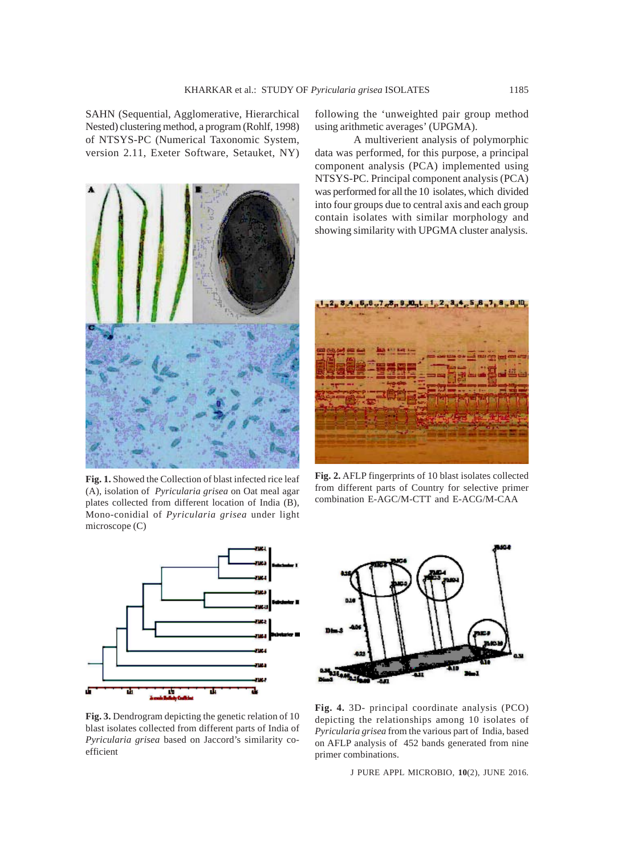SAHN (Sequential, Agglomerative, Hierarchical Nested) clustering method, a program (Rohlf, 1998) of NTSYS-PC (Numerical Taxonomic System, version 2.11, Exeter Software, Setauket, NY)



**Fig. 1.** Showed the Collection of blast infected rice leaf (A), isolation of *Pyricularia grisea* on Oat meal agar plates collected from different location of India (B), Mono-conidial of *Pyricularia grisea* under light microscope (C)



**Fig. 3.** Dendrogram depicting the genetic relation of 10 blast isolates collected from different parts of India of *Pyricularia grisea* based on Jaccord's similarity coefficient

following the 'unweighted pair group method using arithmetic averages' (UPGMA).

A multiverient analysis of polymorphic data was performed, for this purpose, a principal component analysis (PCA) implemented using NTSYS-PC. Principal component analysis (PCA) was performed for all the 10 isolates, which divided into four groups due to central axis and each group contain isolates with similar morphology and showing similarity with UPGMA cluster analysis.



**Fig. 2.** AFLP fingerprints of 10 blast isolates collected from different parts of Country for selective primer combination E-AGC/M-CTT and E-ACG/M-CAA



**Fig. 4.** 3D- principal coordinate analysis (PCO) depicting the relationships among 10 isolates of *Pyricularia grisea* from the various part of India, based on AFLP analysis of 452 bands generated from nine primer combinations.

J PURE APPL MICROBIO*,* **10**(2), JUNE 2016.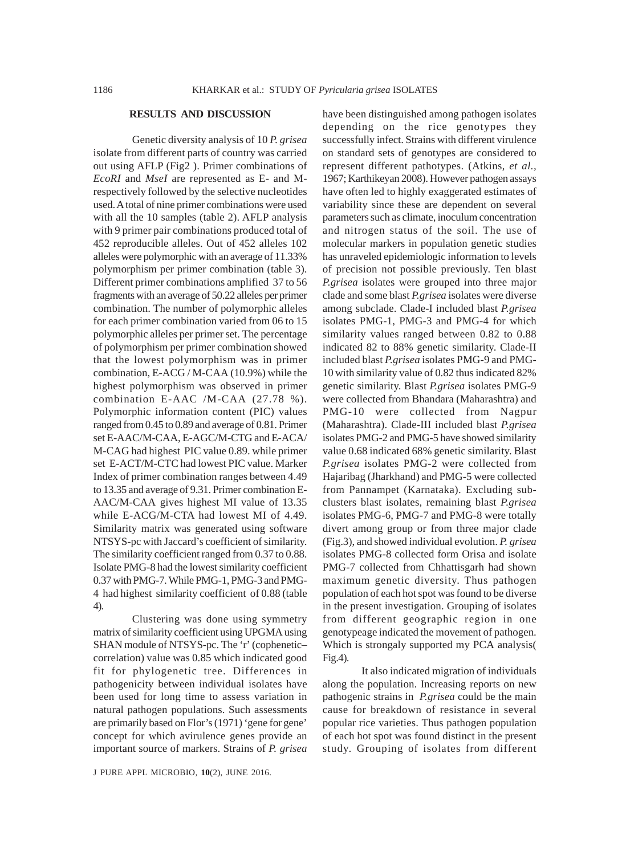## **RESULTS AND DISCUSSION**

Genetic diversity analysis of 10 *P. grisea* isolate from different parts of country was carried out using AFLP (Fig2 ). Primer combinations of *EcoRI* and *MseI* are represented as E- and Mrespectively followed by the selective nucleotides used. A total of nine primer combinations were used with all the 10 samples (table 2). AFLP analysis with 9 primer pair combinations produced total of 452 reproducible alleles. Out of 452 alleles 102 alleles were polymorphic with an average of 11.33% polymorphism per primer combination (table 3). Different primer combinations amplified 37 to 56 fragments with an average of 50.22 alleles per primer combination. The number of polymorphic alleles for each primer combination varied from 06 to 15 polymorphic alleles per primer set. The percentage of polymorphism per primer combination showed that the lowest polymorphism was in primer combination, E-ACG / M-CAA (10.9%) while the highest polymorphism was observed in primer combination E-AAC /M-CAA (27.78 %). Polymorphic information content (PIC) values ranged from 0.45 to 0.89 and average of 0.81. Primer set E-AAC/M-CAA, E-AGC/M-CTG and E-ACA/ M-CAG had highest PIC value 0.89. while primer set E-ACT/M-CTC had lowest PIC value. Marker Index of primer combination ranges between 4.49 to 13.35 and average of 9.31. Primer combination E-AAC/M-CAA gives highest MI value of 13.35 while E-ACG/M-CTA had lowest MI of 4.49. Similarity matrix was generated using software NTSYS-pc with Jaccard's coefficient of similarity. The similarity coefficient ranged from 0.37 to 0.88. Isolate PMG-8 had the lowest similarity coefficient 0.37 with PMG-7. While PMG-1, PMG-3 and PMG-4 had highest similarity coefficient of 0.88 (table 4).

Clustering was done using symmetry matrix of similarity coefficient using UPGMA using SHAN module of NTSYS-pc. The 'r' (cophenetic– correlation) value was 0.85 which indicated good fit for phylogenetic tree. Differences in pathogenicity between individual isolates have been used for long time to assess variation in natural pathogen populations. Such assessments are primarily based on Flor's (1971) 'gene for gene' concept for which avirulence genes provide an important source of markers. Strains of *P. grisea*

have been distinguished among pathogen isolates depending on the rice genotypes they successfully infect. Strains with different virulence on standard sets of genotypes are considered to represent different pathotypes. (Atkins, *et al.,* 1967; Karthikeyan 2008). However pathogen assays have often led to highly exaggerated estimates of variability since these are dependent on several parameters such as climate, inoculum concentration and nitrogen status of the soil. The use of molecular markers in population genetic studies has unraveled epidemiologic information to levels of precision not possible previously. Ten blast *P.grisea* isolates were grouped into three major clade and some blast *P.grisea* isolates were diverse among subclade. Clade-I included blast *P.grisea* isolates PMG-1, PMG-3 and PMG-4 for which similarity values ranged between 0.82 to 0.88 indicated 82 to 88% genetic similarity. Clade-II included blast *P.grisea* isolates PMG-9 and PMG-10 with similarity value of 0.82 thus indicated 82% genetic similarity. Blast *P.grisea* isolates PMG-9 were collected from Bhandara (Maharashtra) and PMG-10 were collected from Nagpur (Maharashtra). Clade-III included blast *P.grisea* isolates PMG-2 and PMG-5 have showed similarity value 0.68 indicated 68% genetic similarity. Blast *P.grisea* isolates PMG-2 were collected from Hajaribag (Jharkhand) and PMG-5 were collected from Pannampet (Karnataka). Excluding subclusters blast isolates, remaining blast *P.grisea* isolates PMG-6, PMG-7 and PMG-8 were totally divert among group or from three major clade (Fig.3), and showed individual evolution. *P. grisea* isolates PMG-8 collected form Orisa and isolate PMG-7 collected from Chhattisgarh had shown maximum genetic diversity. Thus pathogen population of each hot spot was found to be diverse in the present investigation. Grouping of isolates from different geographic region in one genotypeage indicated the movement of pathogen. Which is strongaly supported my PCA analysis( Fig.4).

It also indicated migration of individuals along the population. Increasing reports on new pathogenic strains in *P.grisea* could be the main cause for breakdown of resistance in several popular rice varieties. Thus pathogen population of each hot spot was found distinct in the present study. Grouping of isolates from different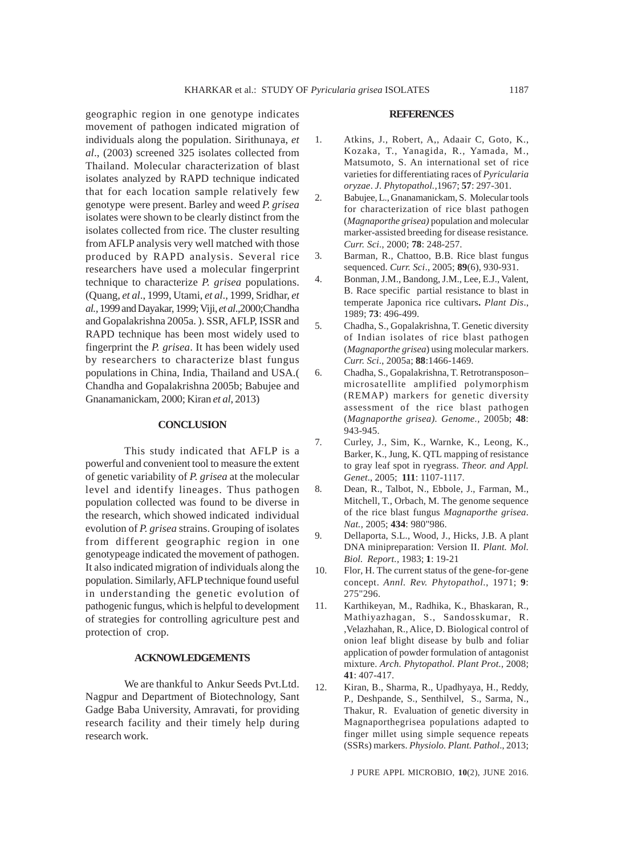geographic region in one genotype indicates movement of pathogen indicated migration of individuals along the population. Sirithunaya, *et al*., (2003) screened 325 isolates collected from Thailand. Molecular characterization of blast isolates analyzed by RAPD technique indicated that for each location sample relatively few genotype were present. Barley and weed *P. grisea* isolates were shown to be clearly distinct from the isolates collected from rice. The cluster resulting from AFLP analysis very well matched with those produced by RAPD analysis. Several rice researchers have used a molecular fingerprint technique to characterize *P. grisea* populations. (Quang, *et al*., 1999, Utami, *et al*., 1999, Sridhar, *et al.,* 1999 and Dayakar, 1999; Viji, *et al*.,2000;Chandha and Gopalakrishna 2005a. ). SSR, AFLP, ISSR and RAPD technique has been most widely used to fingerprint the *P. grisea*. It has been widely used by researchers to characterize blast fungus populations in China, India, Thailand and USA.( Chandha and Gopalakrishna 2005b; Babujee and Gnanamanickam, 2000; Kiran *et al*, 2013)

### **CONCLUSION**

This study indicated that AFLP is a powerful and convenient tool to measure the extent of genetic variability of *P. grisea* at the molecular level and identify lineages. Thus pathogen population collected was found to be diverse in the research, which showed indicated individual evolution of *P. grisea* strains. Grouping of isolates from different geographic region in one genotypeage indicated the movement of pathogen. It also indicated migration of individuals along the population. Similarly, AFLP technique found useful in understanding the genetic evolution of pathogenic fungus, which is helpful to development of strategies for controlling agriculture pest and protection of crop.

## **ACKNOWLEDGEMENTS**

We are thankful to Ankur Seeds Pvt.Ltd. Nagpur and Department of Biotechnology, Sant Gadge Baba University, Amravati, for providing research facility and their timely help during research work.

## **REFERENCES**

- 1. Atkins, J., Robert, A,, Adaair C, Goto, K., Kozaka, T., Yanagida, R., Yamada, M., Matsumoto, S. An international set of rice varieties for differentiating races of *Pyricularia oryzae*. *J. Phytopathol.,*1967; **57**: 297-301.
- 2. Babujee, L., Gnanamanickam, S. Molecular tools for characterization of rice blast pathogen (*Magnaporthe grisea)* population and molecular marker-assisted breeding for disease resistance*. Curr. Sci*., 2000; **78**: 248-257.
- 3. Barman, R., Chattoo, B.B. Rice blast fungus sequenced. *Curr. Sci*., 2005; **89**(6), 930-931.
- 4. Bonman, J.M., Bandong, J.M., Lee, E.J., Valent, B. Race specific partial resistance to blast in temperate Japonica rice cultivars**.** *Plant Dis*., 1989; **73**: 496-499.
- 5. Chadha, S., Gopalakrishna, T. Genetic diversity of Indian isolates of rice blast pathogen (*Magnaporthe grisea*) using molecular markers. *Curr. Sci*., 2005a; **88**:1466-1469.
- 6. Chadha, S., Gopalakrishna, T. Retrotransposon– microsatellite amplified polymorphism (REMAP) markers for genetic diversity assessment of the rice blast pathogen (*Magnaporthe grisea). Genome.,* 2005b; **48**: 943-945.
- 7. Curley, J., Sim, K., Warnke, K., Leong, K., Barker, K., Jung, K. QTL mapping of resistance to gray leaf spot in ryegrass. *Theor. and Appl. Genet*., 2005; **111**: 1107-1117.
- 8. Dean, R., Talbot, N., Ebbole, J., Farman, M., Mitchell, T., Orbach, M. The genome sequence of the rice blast fungus *Magnaporthe grisea*. *Nat.,* 2005; **434**: 980"986.
- 9. Dellaporta, S.L., Wood, J., Hicks, J.B. A plant DNA minipreparation: Version II. *Plant. Mol. Biol. Report.,* 1983; **1**: 19-21
- 10. Flor, H. The current status of the gene-for-gene concept. *Annl. Rev. Phytopathol*., 1971; **9**: 275"296.
- 11. Karthikeyan, M., Radhika, K., Bhaskaran, R., Mathiyazhagan, S., Sandosskumar, R. ,Velazhahan, R., Alice, D. Biological control of onion leaf blight disease by bulb and foliar application of powder formulation of antagonist mixture. *Arch. Phytopathol*. *Plant Prot.,* 2008; **41**: 407-417.
- 12. Kiran, B., Sharma, R., Upadhyaya, H., Reddy, P., Deshpande, S., Senthilvel, S., Sarma, N., Thakur, R. Evaluation of genetic diversity in Magnaporthegrisea populations adapted to finger millet using simple sequence repeats (SSRs) markers. *Physiolo. Plant. Pathol*., 2013;

J PURE APPL MICROBIO*,* **10**(2), JUNE 2016.